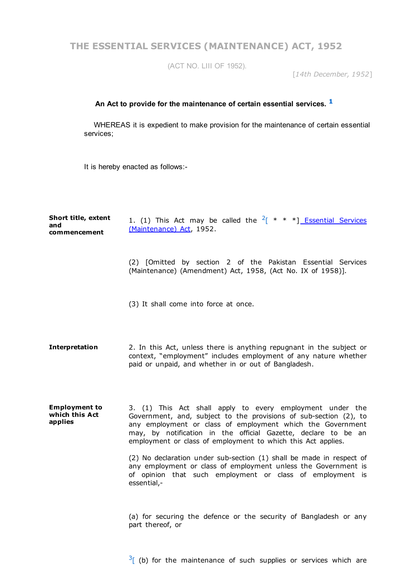**THE ESSENTIAL SERVICES (MAINTENANCE) ACT, 1952**

(ACT NO. LIII OF 1952).

[*14th December, 1952*]

## **An Act to provide for the maintenance of certain essential services. [1](http://bdlaws.minlaw.gov.bd/print_sections.php?id=250§ions_id=10000000)**

WHEREAS it is expedient to make provision for the maintenance of certain essential services;

It is hereby enacted as follows:-

| Short title, extent<br>and<br>commencement        | 1. (1) This Act may be called the $2^{x}$ * * *] Essential Services<br>(Maintenance) Act, 1952.                                                                                                                                                                                                                                                                                                                                                                                                                                                      |
|---------------------------------------------------|------------------------------------------------------------------------------------------------------------------------------------------------------------------------------------------------------------------------------------------------------------------------------------------------------------------------------------------------------------------------------------------------------------------------------------------------------------------------------------------------------------------------------------------------------|
|                                                   | (2) [Omitted by section 2 of the Pakistan Essential Services<br>(Maintenance) (Amendment) Act, 1958, (Act No. IX of 1958)].                                                                                                                                                                                                                                                                                                                                                                                                                          |
|                                                   | (3) It shall come into force at once.                                                                                                                                                                                                                                                                                                                                                                                                                                                                                                                |
| Interpretation                                    | 2. In this Act, unless there is anything repugnant in the subject or<br>context, "employment" includes employment of any nature whether<br>paid or unpaid, and whether in or out of Bangladesh.                                                                                                                                                                                                                                                                                                                                                      |
| <b>Employment to</b><br>which this Act<br>applies | 3. (1) This Act shall apply to every employment under the<br>Government, and, subject to the provisions of sub-section (2), to<br>any employment or class of employment which the Government<br>may, by notification in the official Gazette, declare to be an<br>employment or class of employment to which this Act applies.<br>(2) No declaration under sub-section (1) shall be made in respect of<br>any employment or class of employment unless the Government is<br>of opinion that such employment or class of employment is<br>essential,- |
|                                                   | (a) for securing the defence or the security of Bangladesh or any<br>part thereof, or                                                                                                                                                                                                                                                                                                                                                                                                                                                                |

 $3$ [ (b) for the maintenance of such supplies or services which are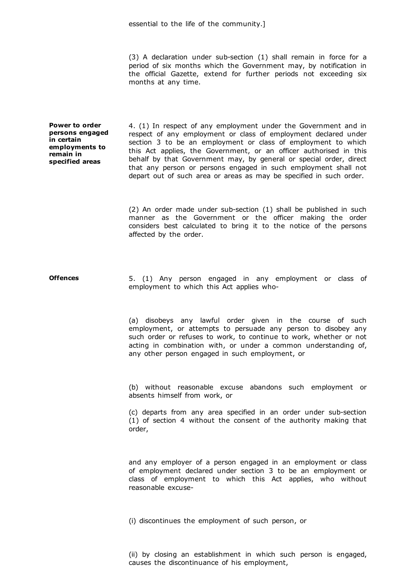essential to the life of the community.]

 $(3)$  A declaration under sub-section  $(1)$  shall remain in force for a period of six months which the Government may, by notification in the official Gazette, extend for further periods not exceeding six months at any time.

**Power to order persons engaged in certain employments to remain in specified areas**

4. (1) In respect of any employment under the Government and in respect of any employment or class of employment declared under section 3 to be an employment or class of employment to which this Act applies, the Government, or an officer authorised in this behalf by that Government may, by general or special order, direct that any person or persons engaged in such employment shall not depart out of such area or areas as may be specified in such order.

(2) An order made under sub-section  $(1)$  shall be published in such manner as the Government or the officer making the order considers best calculated to bring it to the notice of the persons affected by the order.

**Offences** 5. (1) Any person engaged in any employment or class of employment to which this Act applies who

> (a) disobeys any lawful order given in the course of such employment, or attempts to persuade any person to disobey any such order or refuses to work, to continue to work, whether or not acting in combination with, or under a common understanding of, any other person engaged in such employment, or

> (b) without reasonable excuse abandons such employment or absents himself from work, or

> (c) departs from any area specified in an order under sub-section (1) of section 4 without the consent of the authority making that order,

> and any employer of a person engaged in an employment or class of employment declared under section 3 to be an employment or class of employment to which this Act applies, who without reasonable excuse

(i) discontinues the employment of such person, or

(ii) by closing an establishment in which such person is engaged, causes the discontinuance of his employment,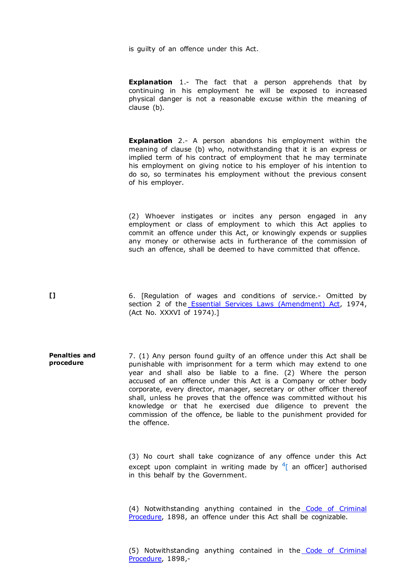is guilty of an offence under this Act.

**Explanation** 1.- The fact that a person apprehends that by continuing in his employment he will be exposed to increased physical danger is not a reasonable excuse within the meaning of clause (b).

**Explanation** 2.- A person abandons his employment within the meaning of clause (b) who, notwithstanding that it is an express or implied term of his contract of employment that he may terminate his employment on giving notice to his employer of his intention to do so, so terminates his employment without the previous consent of his employer.

(2) Whoever instigates or incites any person engaged in any employment or class of employment to which this Act applies to commit an offence under this Act, or knowingly expends or supplies any money or otherwise acts in furtherance of the commission of such an offence, shall be deemed to have committed that offence.

**[]** 6. [Regulation of wages and conditions of service. Omitted by section 2 of the Essential Services Laws [\(Amendment\)](http://bdlaws.minlaw.gov.bd/pdf_part.php?id=469) Act, 1974, (Act No. XXXVI of 1974).]

**Penalties and procedure** 7. (1) Any person found guilty of an offence under this Act shall be punishable with imprisonment for a term which may extend to one year and shall also be liable to a fine. (2) Where the person accused of an offence under this Act is a Company or other body corporate, every director, manager, secretary or other officer thereof shall, unless he proves that the offence was committed without his knowledge or that he exercised due diligence to prevent the commission of the offence, be liable to the punishment provided for the offence.

> (3) No court shall take cognizance of any offence under this Act except upon complaint in writing made by  $4\epsilon$  $4\epsilon$  an officer] authorised in this behalf by the Government.

> (4) [Notwithstanding](http://bdlaws.minlaw.gov.bd/pdf_part.php?id=75) anything contained in the Code of Criminal Procedure, 1898, an offence under this Act shall be cognizable.

> (5) [Notwithstanding](http://bdlaws.minlaw.gov.bd/pdf_part.php?id=75) anything contained in the Code of Criminal Procedure, 1898,-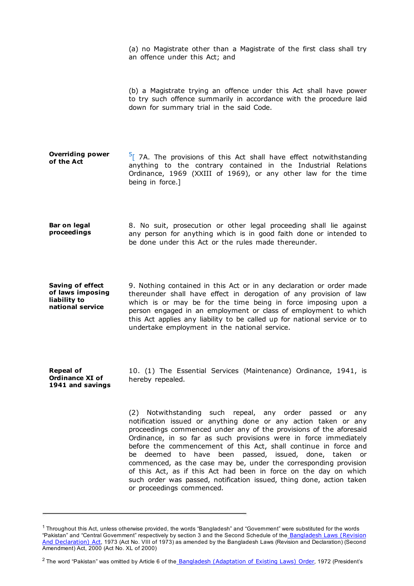(a) no Magistrate other than a Magistrate of the first class shall try an offence under this Act; and (b) a Magistrate trying an offence under this Act shall have power to try such offence summarily in accordance with the procedure laid down for summary trial in the said Code. **Overriding power of the Act**  $\frac{5}{2}$  $\frac{5}{2}$  $\frac{5}{2}$  7A. The provisions of this Act shall have effect notwithstanding anything to the contrary contained in the Industrial Relations Ordinance, 1969 (XXIII of 1969), or any other law for the time being in force.] **Bar on legal proceedings** 8. No suit, prosecution or other legal proceeding shall lie against any person for anything which is in good faith done or intended to be done under this Act or the rules made thereunder. **Saving of effect of laws imposing liability to national service** 9. Nothing contained in this Act or in any declaration or order made thereunder shall have effect in derogation of any provision of law which is or may be for the time being in force imposing upon a person engaged in an employment or class of employment to which this Act applies any liability to be called up for national service or to undertake employment in the national service.

**Repeal of Ordinance XI of 1941 and savings** 10. (1) The Essential Services (Maintenance) Ordinance, 1941, is hereby repealed.

(2) Notwithstanding such repeal, any order passed or any notification issued or anything done or any action taken or any proceedings commenced under any of the provisions of the aforesaid Ordinance, in so far as such provisions were in force immediately before the commencement of this Act, shall continue in force and be deemed to have been passed, issued, done, taken or commenced, as the case may be, under the corresponding provision of this Act, as if this Act had been in force on the day on which such order was passed, notification issued, thing done, action taken or proceedings commenced.

 $1$  Throughout this Act, unless otherwise provided, the words "Bangladesh" and "Government" were substituted for the words "Pakistan" and "Central Government" respectively by section 3 and the Second Schedule of the Bangladesh Laws (Revision And [Declaration\)](http://bdlaws.minlaw.gov.bd/pdf_part.php?id=430) Act, 1973 (Act No. VIII of 1973) as amended by the Bangladesh Laws (Revision and Declaration) (Second Amendment) Act, 2000 (Act No. XL of 2000)

<sup>&</sup>lt;sup>2</sup> The word "Pakistan" was omitted by Article 6 of the Bangladesh [\(Adaptation](http://bdlaws.minlaw.gov.bd/pdf_part.php?id=388) of Existing Laws) Order, 1972 (President's